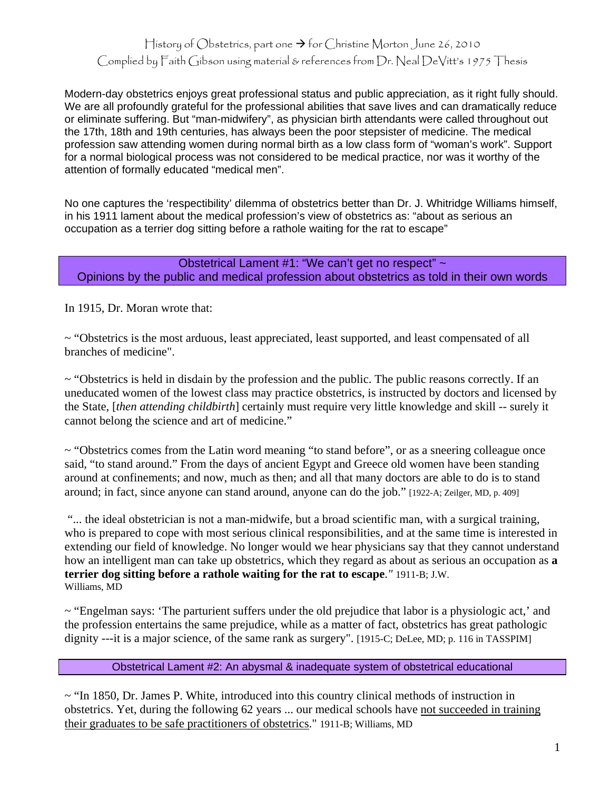## History of Obstetrics, part one  $\rightarrow$  for Christine Morton June 26, 2010 Complied by Faith Gibson using material & references from Dr. Neal DeVitt's 1975 Thesis

Modern-day obstetrics enjoys great professional status and public appreciation, as it right fully should. We are all profoundly grateful for the professional abilities that save lives and can dramatically reduce or eliminate suffering. But "man-midwifery", as physician birth attendants were called throughout out the 17th, 18th and 19th centuries, has always been the poor stepsister of medicine. The medical profession saw attending women during normal birth as a low class form of "woman's work". Support for a normal biological process was not considered to be medical practice, nor was it worthy of the attention of formally educated "medical men".

No one captures the 'respectibility' dilemma of obstetrics better than Dr. J. Whitridge Williams himself, in his 1911 lament about the medical profession's view of obstetrics as: "about as serious an occupation as a terrier dog sitting before a rathole waiting for the rat to escape"

Obstetrical Lament #1: "We can't get no respect" ~ Opinions by the public and medical profession about obstetrics as told in their own words

In 1915, Dr. Moran wrote that:

~ "Obstetrics is the most arduous, least appreciated, least supported, and least compensated of all branches of medicine".

 $\sim$  "Obstetrics is held in disdain by the profession and the public. The public reasons correctly. If an uneducated women of the lowest class may practice obstetrics, is instructed by doctors and licensed by the State, [*then attending childbirth*] certainly must require very little knowledge and skill -- surely it cannot belong the science and art of medicine."

 $\sim$  "Obstetrics comes from the Latin word meaning "to stand before", or as a sneering colleague once said, "to stand around." From the days of ancient Egypt and Greece old women have been standing around at confinements; and now, much as then; and all that many doctors are able to do is to stand around; in fact, since anyone can stand around, anyone can do the job." [1922-A; Zeilger, MD, p. 409]

 "... the ideal obstetrician is not a man-midwife, but a broad scientific man, with a surgical training, who is prepared to cope with most serious clinical responsibilities, and at the same time is interested in extending our field of knowledge. No longer would we hear physicians say that they cannot understand how an intelligent man can take up obstetrics, which they regard as about as serious an occupation as **a terrier dog sitting before a rathole waiting for the rat to escape**.*"* 1911-B; J.W. Williams, MD

 $\sim$  "Engelman says: 'The parturient suffers under the old prejudice that labor is a physiologic act,' and the profession entertains the same prejudice, while as a matter of fact, obstetrics has great pathologic dignity ---it is a major science, of the same rank as surgery". [1915-C; DeLee, MD; p. 116 in TASSPIM]

Obstetrical Lament #2: An abysmal & inadequate system of obstetrical educational

 $\sim$  "In 1850, Dr. James P. White, introduced into this country clinical methods of instruction in obstetrics. Yet, during the following 62 years ... our medical schools have not succeeded in training their graduates to be safe practitioners of obstetrics." 1911-B; Williams, MD